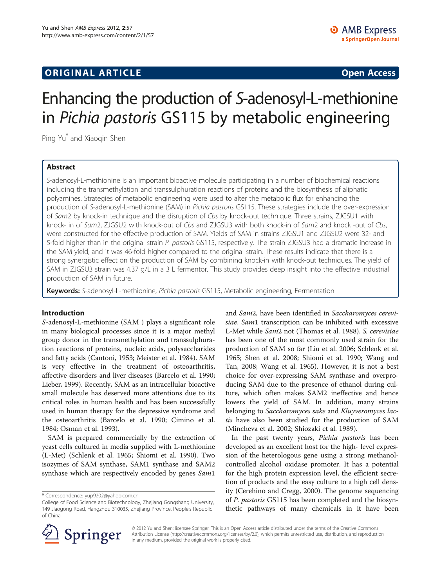# **ORIGINAL ARTICLE CONSUMING A LIGACION CONSUMING A LIGACION CONSUMING A LIGACION**

# Enhancing the production of S-adenosyl-L-methionine in Pichia pastoris GS115 by metabolic engineering

Ping Yu\* and Xiaoqin Shen

# Abstract

S-adenosyl-L-methionine is an important bioactive molecule participating in a number of biochemical reactions including the transmethylation and transsulphuration reactions of proteins and the biosynthesis of aliphatic polyamines. Strategies of metabolic engineering were used to alter the metabolic flux for enhancing the production of S-adenosyl-L-methionine (SAM) in Pichia pastoris GS115. These strategies include the over-expression of Sam2 by knock-in technique and the disruption of Cbs by knock-out technique. Three strains, ZJGSU1 with knock- in of Sam2, ZJGSU2 with knock-out of Cbs and ZJGSU3 with both knock-in of Sam2 and knock -out of Cbs, were constructed for the effective production of SAM. Yields of SAM in strains ZJGSU1 and ZJGSU2 were 32- and 5-fold higher than in the original strain P. pastoris GS115, respectively. The strain ZJGSU3 had a dramatic increase in the SAM yield, and it was 46-fold higher compared to the original strain. These results indicate that there is a strong synergistic effect on the production of SAM by combining knock-in with knock-out techniques. The yield of SAM in ZJGSU3 strain was 4.37 g/L in a 3 L fermentor. This study provides deep insight into the effective industrial production of SAM in future.

Keywords: S-adenosyl-L-methionine, Pichia pastoris GS115, Metabolic engineering, Fermentation

### Introduction

S-adenosyl-L-methionine (SAM ) plays a significant role in many biological processes since it is a major methyl group donor in the transmethylation and transsulphuration reactions of proteins, nucleic acids, polysaccharides and fatty acids (Cantoni, [1953;](#page-6-0) Meister et al. [1984\)](#page-6-0). SAM is very effective in the treatment of osteoarthritis, affective disorders and liver diseases (Barcelo et al. [1990](#page-6-0); Lieber, [1999](#page-6-0)). Recently, SAM as an intracellular bioactive small molecule has deserved more attentions due to its critical roles in human health and has been successfully used in human therapy for the depressive syndrome and the osteoarthritis (Barcelo et al. [1990](#page-6-0); Cimino et al. [1984](#page-6-0); Osman et al. [1993\)](#page-6-0).

SAM is prepared commercially by the extraction of yeast cells cultured in media supplied with L-methionine (L-Met) (Schlenk et al. [1965;](#page-6-0) Shiomi et al. [1990](#page-6-0)). Two isozymes of SAM synthase, SAM1 synthase and SAM2 synthase which are respectively encoded by genes Sam1

and Sam2, have been identified in Saccharomyces cerevisiae. Sam1 transcription can be inhibited with excessive L-Met while Sam2 not (Thomas et al. [1988\)](#page-6-0). S. cerevisiae has been one of the most commonly used strain for the production of SAM so far (Liu et al. [2006;](#page-6-0) Schlenk et al. [1965](#page-6-0); Shen et al. [2008;](#page-6-0) Shiomi et al. [1990;](#page-6-0) Wang and Tan, [2008;](#page-6-0) Wang et al. 1965). However, it is not a best choice for over-expressing SAM synthase and overproducing SAM due to the presence of ethanol during culture, which often makes SAM2 ineffective and hence lowers the yield of SAM. In addition, many strains belonging to Saccharomyces sake and Kluyveromyces lactis have also been studied for the production of SAM (Mincheva et al. [2002](#page-6-0); Shiozaki et al. [1989\)](#page-6-0).

In the past twenty years, Pichia pastoris has been developed as an excellent host for the high- level expression of the heterologous gene using a strong methanolcontrolled alcohol oxidase promoter. It has a potential for the high protein expression level, the efficient secretion of products and the easy culture to a high cell density (Cerehino and Cregg, [2000\)](#page-6-0). The genome sequencing of P. pastoris GS115 has been completed and the biosynthetic pathways of many chemicals in it have been



© 2012 Yu and Shen; licensee Springer. This is an Open Access article distributed under the terms of the Creative Commons Attribution License [\(http://creativecommons.org/licenses/by/2.0\)](http://creativecommons.org/licenses/by/2.0), which permits unrestricted use, distribution, and reproduction in any medium, provided the original work is properly cited.

<sup>\*</sup> Correspondence: [yup9202@yahoo.com.cn](mailto:yup9202@yahoo.com.cn)

College of Food Science and Biotechnology, Zhejiang Gongshang University, 149 Jiaogong Road, Hangzhou 310035, Zhejiang Province, People's Republic of China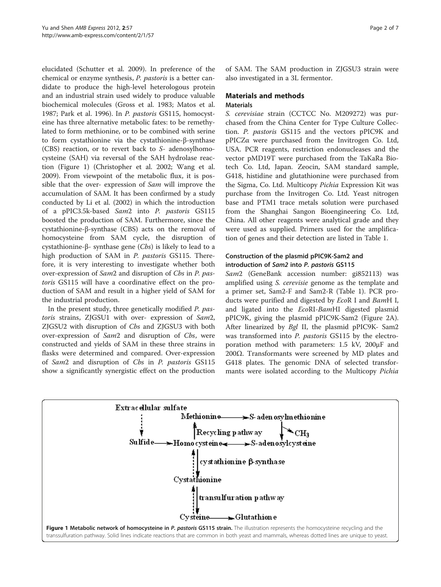elucidated (Schutter et al. [2009\)](#page-6-0). In preference of the chemical or enzyme synthesis, P. pastoris is a better candidate to produce the high-level heterologous protein and an industrial strain used widely to produce valuable biochemical molecules (Gross et al. [1983](#page-6-0); Matos et al. [1987](#page-6-0); Park et al. [1996](#page-6-0)). In P. pastoris GS115, homocysteine has three alternative metabolic fates: to be remethylated to form methionine, or to be combined with serine to form cystathionine via the cystathionine-β-synthase (CBS) reaction, or to revert back to S- adenosylhomocysteine (SAH) via reversal of the SAH hydrolase reaction (Figure 1) (Christopher et al. [2002;](#page-6-0) Wang et al. [2009](#page-6-0)). From viewpoint of the metabolic flux, it is possible that the over- expression of Sam will improve the accumulation of SAM. It has been confirmed by a study conducted by Li et al. ([2002\)](#page-6-0) in which the introduction of a pPIC3.5k-based Sam2 into P. pastoris GS115 boosted the production of SAM. Furthermore, since the cystathionine-β-synthase (CBS) acts on the removal of homocysteine from SAM cycle, the disruption of cystathionine-β- synthase gene  $(Cbs)$  is likely to lead to a high production of SAM in P. pastoris GS115. Therefore, it is very interesting to investigate whether both over-expression of Sam2 and disruption of Cbs in P. pastoris GS115 will have a coordinative effect on the production of SAM and result in a higher yield of SAM for the industrial production.

In the present study, three genetically modified P. pastoris strains, ZJGSU1 with over- expression of Sam2, ZJGSU2 with disruption of Cbs and ZJGSU3 with both over-expression of Sam2 and disruption of Cbs, were constructed and yields of SAM in these three strains in flasks were determined and compared. Over-expression of Sam2 and disruption of Cbs in P. pastoris GS115 show a significantly synergistic effect on the production of SAM. The SAM production in ZJGSU3 strain were also investigated in a 3L fermentor.

# Materials and methods

## Materials

S. cerevisiae strain (CCTCC No. M209272) was purchased from the China Center for Type Culture Collection. P. pastoris GS115 and the vectors pPIC9K and pPICZα were purchased from the Invitrogen Co. Ltd, USA. PCR reagents, restriction endonucleases and the vector pMD19T were purchased from the TaKaRa Biotech Co. Ltd, Japan. Zeocin, SAM standard sample, G418, histidine and glutathionine were purchased from the Sigma, Co. Ltd. Multicopy Pichia Expression Kit was purchase from the Invitrogen Co. Ltd. Yeast nitrogen base and PTM1 trace metals solution were purchased from the Shanghai Sangon Bioengineering Co. Ltd, China. All other reagents were analytical grade and they were used as supplied. Primers used for the amplification of genes and their detection are listed in Table [1](#page-2-0).

## Construction of the plasmid pPIC9K-Sam2 and introduction of Sam2 into P. pastoris GS115

Sam2 (GeneBank accession number: gi852113) was amplified using S. cerevisie genome as the template and a primer set, Sam2-F and Sam2-R (Table [1\)](#page-2-0). PCR products were purified and digested by EcoR I and BamH I, and ligated into the EcoRI-BamHI digested plasmid pPIC9K, giving the plasmid pPIC9K-Sam2 (Figure [2A](#page-2-0)). After linearized by *Bgl* II, the plasmid pPIC9K- Sam2 was transformed into P. pastoris GS115 by the electroporation method with parameters: 1.5 kV, 200μF and 200 $Ω$ . Transformants were screened by MD plates and G418 plates. The genomic DNA of selected transformants were isolated according to the Multicopy Pichia

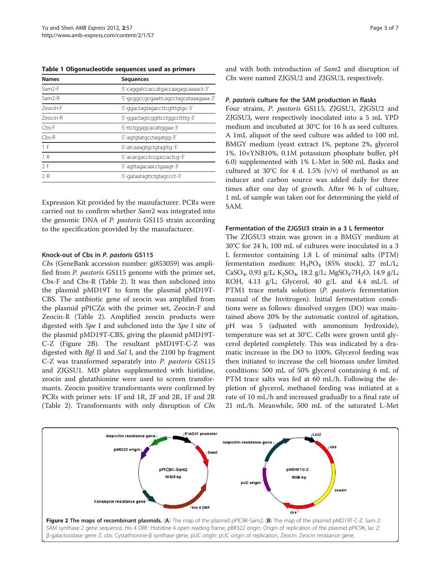<span id="page-2-0"></span>Table 1 Oligonucleotide sequences used as primers

| <b>Names</b>       | <b>Sequences</b>                      |
|--------------------|---------------------------------------|
| Sam <sub>2-F</sub> | 5'-caggatccaccatgaccaagagcaaaact-3'   |
| Sam2-R             | 5'-gcggccgcgaattcagcctagcataaagaaa-3' |
| <b>Zeocin-F</b>    | 5'-ggactagtagaccttcgtttgtgc-3'        |
| Zeocin-R           | 5'-ggactagtcggttcctggccttttg-3'       |
| $Chs-F$            | 5'-ttctggagcacattggaa-3'              |
| $Chs-R$            | 5'-agtgtatgcctagatgg-3'               |
| 1 F                | 5'-atcaaagtgctgtagttg-3'              |
| 1R                 | 5'-acacgacctccgaccactcg-3'            |
| 2F                 | 5'-agttagacaacctgaagt-3'              |
| 2R                 | 5'-gataatagttctgtagccct-3'            |

Expression Kit provided by the manufacturer. PCRs were carried out to confirm whether Sam2 was integrated into the genomic DNA of P. pastoris GS115 strain according to the specification provided by the manufacturer.

#### Knock-out of Cbs in P. pastoris GS115

Cbs (GeneBank accession number: gi853059) was amplified from P. pastoris GS115 genome with the primer set, Cbs-F and Cbs-R (Table [2\)](#page-3-0). It was then subcloned into the plasmid pMD19T to form the plasmid pMD19T-CBS. The antibiotic gene of zeocin was amplified from the plasmid pPICZα with the primer set, Zeocin-F and Zeocin-R (Table [2](#page-3-0)). Amplified zeocin products were digested with Spe I and subcloned into the Spe I site of the plasmid pMD19T-CBS, giving the plasmid pMD19T-C-Z (Figure 2B). The resultant pMD19T-C-Z was digested with *Bgl* II and *Sal* I, and the 2100 bp fragment C-Z was transformed separately into P. pastoris GS115 and ZJGSU1. MD plates supplemented with histidine, zeocin and glutathionine were used to screen transformants. Zeocin positive transformants were confirmed by PCRs with primer sets: 1F and 1R, 2F and 2R, 1F and 2R (Table [2](#page-3-0)). Transformants with only disruption of Cbs

and with both introduction of Sam2 and disruption of Cbs were named ZJGSU2 and ZJGSU3, respectively.

#### P. pastoris culture for the SAM production in flasks

Four strains, P. pastoris GS115, ZJGSU1, ZJGSU2 and ZJGSU3, were respectively inoculated into a 5 mL YPD medium and incubated at 30°C for 16 h as seed cultures. A 1mL aliquot of the seed culture was added to 100 mL BMGY medium (yeast extract 1%, peptone 2%, glycerol 1%, 10×YNB10%, 0.1M potassium phosphate buffer, pH 6.0) supplemented with 1% L-Met in 500 mL flasks and cultured at 30°C for 4 d. 1.5% (v/v) of methanol as an inducer and carbon source was added daily for three times after one day of growth. After 96 h of culture, 1 mL of sample was taken out for determining the yield of SAM.

#### Fermentation of the ZJGSU3 strain in a 3 L fermentor

The ZJGSU3 strain was grown in a BMGY medium at 30°C for 24 h, 100 mL of cultures were inoculated in a 3 L fermentor containing 1.8 L of minimal salts (PTM) fermentation medium:  $H_3PO_4$  (85% stock), 27 mL/L; CaSO<sub>4</sub>, 0.93 g/L; K<sub>2</sub>SO<sub>4</sub>, 18.2 g/L; MgSO<sub>4</sub>.7H<sub>2</sub>O, 14.9 g/L; KOH, 4.13 g/L; Glycerol, 40 g/L and 4.4 mL/L of PTM1 trace metals solution (P. pastoris fermentation manual of the Invitrogen). Initial fermentation conditions were as follows: dissolved oxygen (DO) was maintained above 20% by the automatic control of agitation, pH was 5 (adjusted with ammonium hydroxide), temperature was set at 30°C. Cells were grown until glycerol depleted completely. This was indicated by a dramatic increase in the DO to 100%. Glycerol feeding was then initiated to increase the cell biomass under limited conditions: 500 mL of 50% glycerol containing 6 mL of PTM trace salts was fed at 60 mL/h. Following the depletion of glycerol, methanol feeding was initiated at a rate of 10 mL/h and increased gradually to a final rate of 21 mL/h. Meanwhile, 500 mL of the saturated L-Met

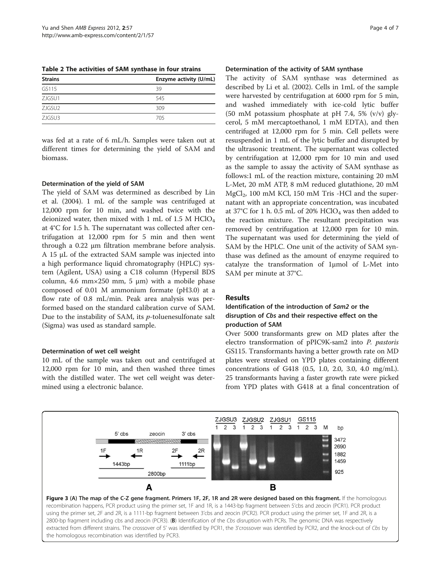<span id="page-3-0"></span>Table 2 The activities of SAM synthase in four strains

| <b>Strains</b>     | Enzyme activity (U/mL) |
|--------------------|------------------------|
| GS115              | 39                     |
| ZJGSU1             | 545                    |
| ZJGSU <sub>2</sub> | 309                    |
| ZJGSU3             | 705                    |

was fed at a rate of 6 mL/h. Samples were taken out at different times for determining the yield of SAM and biomass.

#### Determination of the yield of SAM

The yield of SAM was determined as described by Lin et al. ([2004\)](#page-6-0). 1 mL of the sample was centrifuged at 12,000 rpm for 10 min, and washed twice with the deionized water, then mixed with 1 mL of 1.5 M  $HClO<sub>4</sub>$ at 4°C for 1.5 h. The supernatant was collected after centrifugation at 12,000 rpm for 5 min and then went through a 0.22 μm filtration membrane before analysis. A 15 μL of the extracted SAM sample was injected into a high performance liquid chromatography (HPLC) system (Agilent, USA) using a C18 column (Hypersil BDS column, 4.6 mm $\times$ 250 mm, 5 µm) with a mobile phase composed of 0.01 M ammonium formate (pH3.0) at a flow rate of 0.8 mL/min. Peak area analysis was performed based on the standard calibration curve of SAM. Due to the instability of SAM, its p-toluenesulfonate salt (Sigma) was used as standard sample.

### Determination of wet cell weight

10 mL of the sample was taken out and centrifuged at 12,000 rpm for 10 min, and then washed three times with the distilled water. The wet cell weight was determined using a electronic balance.

#### Determination of the activity of SAM synthase

The activity of SAM synthase was determined as described by Li et al. ([2002](#page-6-0)). Cells in 1mL of the sample were harvested by centrifugation at 6000 rpm for 5 min, and washed immediately with ice-cold lytic buffer (50 mM potassium phosphate at pH 7.4, 5%  $(v/v)$  glycerol, 5 mM mercaptoethanol, 1 mM EDTA), and then centrifuged at 12,000 rpm for 5 min. Cell pellets were resuspended in 1 mL of the lytic buffer and disrupted by the ultrasonic treatment. The supernatant was collected by centrifugation at 12,000 rpm for 10 min and used as the sample to assay the activity of SAM synthase as follows:1 mL of the reaction mixture, containing 20 mM L-Met, 20 mM ATP, 8 mM reduced glutathione, 20 mM  $MgCl<sub>2</sub>$ , 100 mM KCl, 150 mM Tris -HCl and the supernatant with an appropriate concentration, was incubated at 37°C for 1 h. 0.5 mL of 20%  $HClO<sub>4</sub>$  was then added to the reaction mixture. The resultant precipitation was removed by centrifugation at 12,000 rpm for 10 min. The supernatant was used for determining the yield of SAM by the HPLC. One unit of the activity of SAM synthase was defined as the amount of enzyme required to catalyze the transformation of 1μmol of L-Met into SAM per minute at 37°C.

#### Results

## Identification of the introduction of Sam2 or the disruption of Cbs and their respective effect on the production of SAM

Over 5000 transformants grew on MD plates after the electro transformation of pPIC9K-sam2 into P. pastoris GS115. Transformants having a better growth rate on MD plates were streaked on YPD plates containing different concentrations of G418 (0.5, 1.0, 2.0, 3.0, 4.0 mg/mL). 25 transformants having a faster growth rate were picked from YPD plates with G418 at a final concentration of



recombination happens, PCR product using the primer set, 1F and 1R, is a 1443-bp fragment between 5'cbs and zeocin (PCR1). PCR product using the primer set, 2F and 2R, is a 1111-bp fragment between 3'cbs and zeocin (PCR2). PCR product using the primer set, 1F and 2R, is a 2800-bp fragment including cbs and zeocin (PCR3). (B) Identification of the Cbs disruption with PCRs. The genomic DNA was respectively extracted from different strains. The crossover of 5' was identified by PCR1, the 3'crossover was identified by PCR2, and the knock-out of Cbs by the homologous recombination was identified by PCR3.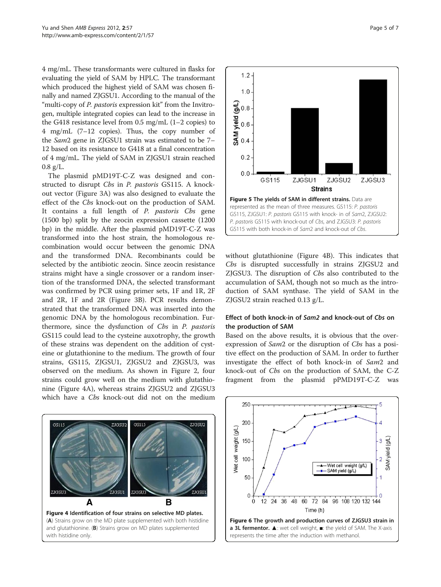<span id="page-4-0"></span>4 mg/mL. These transformants were cultured in flasks for evaluating the yield of SAM by HPLC. The transformant which produced the highest yield of SAM was chosen finally and named ZJGSU1. According to the manual of the "multi-copy of P. pastoris expression kit" from the Invitrogen, multiple integrated copies can lead to the increase in the G418 resistance level from 0.5 mg/mL (1–2 copies) to 4 mg/mL (7–12 copies). Thus, the copy number of the Sam2 gene in ZJGSU1 strain was estimated to be 7– 12 based on its resistance to G418 at a final concentration of 4 mg/mL. The yield of SAM in ZJGSU1 strain reached  $0.8$  g/L.

The plasmid pMD19T-C-Z was designed and constructed to disrupt Cbs in P. pastoris GS115. A knockout vector (Figure [3A](#page-3-0)) was also designed to evaluate the effect of the Cbs knock-out on the production of SAM. It contains a full length of P. pastoris Cbs gene (1500 bp) split by the zeocin expression cassette (1200 bp) in the middle. After the plasmid pMD19T-C-Z was transformed into the host strain, the homologous recombination would occur between the genomic DNA and the transformed DNA. Recombinants could be selected by the antibiotic zeocin. Since zeocin resistance strains might have a single crossover or a random insertion of the transformed DNA, the selected transformant was confirmed by PCR using primer sets, 1F and 1R, 2F and 2R, 1F and 2R (Figure [3B](#page-3-0)). PCR results demonstrated that the transformed DNA was inserted into the genomic DNA by the homologous recombination. Furthermore, since the dysfunction of Cbs in P. pastoris GS115 could lead to the cysteine auxotrophy, the growth of these strains was dependent on the addition of cysteine or glutathionine to the medium. The growth of four strains, GS115, ZJGSU1, ZJGSU2 and ZJGSU3, was observed on the medium. As shown in Figure [2,](#page-2-0) four strains could grow well on the medium with glutathionine (Figure 4A), whereas strains ZJGSU2 and ZJGSU3 which have a Cbs knock-out did not on the medium





without glutathionine (Figure 4B). This indicates that Cbs is disrupted successfully in strains ZJGSU2 and ZJGSU3. The disruption of Cbs also contributed to the accumulation of SAM, though not so much as the introduction of SAM synthase. The yield of SAM in the ZJGSU2 strain reached 0.13 g/L.

### Effect of both knock-in of Sam2 and knock-out of Cbs on the production of SAM

Based on the above results, it is obvious that the overexpression of *Sam*2 or the disruption of *Cbs* has a positive effect on the production of SAM. In order to further investigate the effect of both knock-in of Sam2 and knock-out of Cbs on the production of SAM, the C-Z fragment from the plasmid pPMD19T-C-Z was

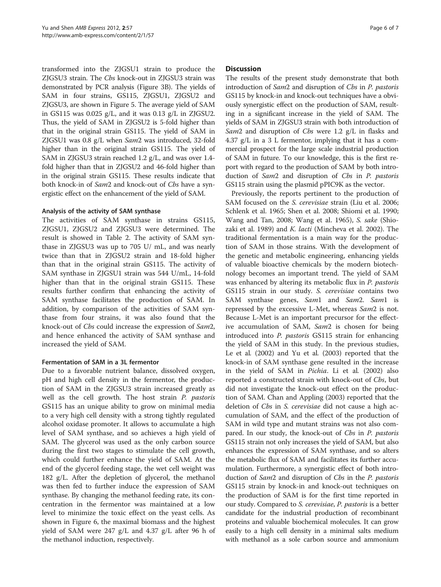transformed into the ZJGSU1 strain to produce the ZJGSU3 strain. The Cbs knock-out in ZJGSU3 strain was demonstrated by PCR analysis (Figure [3B\)](#page-3-0). The yields of SAM in four strains, GS115, ZJGSU1, ZJGSU2 and ZJGSU3, are shown in Figure [5.](#page-4-0) The average yield of SAM in GS115 was 0.025 g/L, and it was 0.13 g/L in ZJGSU2. Thus, the yield of SAM in ZJGSU2 is 5-fold higher than that in the original strain GS115. The yield of SAM in ZJGSU1 was 0.8 g/L when Sam2 was introduced, 32-fold higher than in the original strain GS115. The yield of SAM in ZJGSU3 strain reached 1.2 g/L, and was over 1.4 fold higher than that in ZJGSU2 and 46-fold higher than in the original strain GS115. These results indicate that both knock-in of Sam2 and knock-out of Cbs have a synergistic effect on the enhancement of the yield of SAM.

### Analysis of the activity of SAM synthase

The activities of SAM synthase in strains GS115, ZJGSU1, ZJGSU2 and ZJGSU3 were determined. The result is showed in Table [2](#page-3-0). The activity of SAM synthase in ZJGSU3 was up to 705 U/ mL, and was nearly twice than that in ZJGSU2 strain and 18-fold higher than that in the original strain GS115. The activity of SAM synthase in ZJGSU1 strain was 544 U/mL, 14-fold higher than that in the original strain GS115. These results further confirm that enhancing the activity of SAM synthase facilitates the production of SAM. In addition, by comparison of the activities of SAM synthase from four strains, it was also found that the knock-out of Cbs could increase the expression of Sam2, and hence enhanced the activity of SAM synthase and increased the yield of SAM.

### Fermentation of SAM in a 3L fermentor

Due to a favorable nutrient balance, dissolved oxygen, pH and high cell density in the fermentor, the production of SAM in the ZJGSU3 strain increased greatly as well as the cell growth. The host strain P. pastoris GS115 has an unique ability to grow on minimal media to a very high cell density with a strong tightly regulated alcohol oxidase promoter. It allows to accumulate a high level of SAM synthase, and so achieves a high yield of SAM. The glycerol was used as the only carbon source during the first two stages to stimulate the cell growth, which could further enhance the yield of SAM. At the end of the glycerol feeding stage, the wet cell weight was 182 g/L. After the depletion of glycerol, the methanol was then fed to further induce the expression of SAM synthase. By changing the methanol feeding rate, its concentration in the fermentor was maintained at a low level to minimize the toxic effect on the yeast cells. As shown in Figure [6](#page-4-0), the maximal biomass and the highest yield of SAM were 247 g/L and 4.37 g/L after 96 h of the methanol induction, respectively.

#### **Discussion**

The results of the present study demonstrate that both introduction of Sam2 and disruption of Cbs in P. pastoris GS115 by knock-in and knock-out techniques have a obviously synergistic effect on the production of SAM, resulting in a significant increase in the yield of SAM. The yields of SAM in ZJGSU3 strain with both introduction of Sam2 and disruption of Cbs were 1.2 g/L in flasks and 4.37 g/L in a 3 L fermentor, implying that it has a commercial prospect for the large scale industrial production of SAM in future. To our knowledge, this is the first report with regard to the production of SAM by both introduction of Sam2 and disruption of Cbs in P. pastoris GS115 strain using the plasmid pPIC9K as the vector.

Previously, the reports pertinent to the production of SAM focused on the S. cerevisiae strain (Liu et al. [2006](#page-6-0); Schlenk et al. [1965](#page-6-0); Shen et al. [2008;](#page-6-0) Shiomi et al. [1990](#page-6-0); Wang and Tan, [2008](#page-6-0); Wang et al. [1965](#page-6-0)), S. sake (Shiozaki et al. [1989\)](#page-6-0) and K. lacti (Mincheva et al. [2002\)](#page-6-0). The traditional fermentation is a main way for the production of SAM in those strains. With the development of the genetic and metabolic engineering, enhancing yields of valuable bioactive chemicals by the modern biotechnology becomes an important trend. The yield of SAM was enhanced by altering its metabolic flux in P. pastoris GS115 strain in our study. S. cerevisiae contains two SAM synthase genes, Sam1 and Sam2. Sam1 is repressed by the excessive L-Met, whereas Sam2 is not. Because L-Met is an important precursor for the effective accumulation of SAM, Sam2 is chosen for being introduced into P. pastoris GS115 strain for enhancing the yield of SAM in this study. In the previous studies, Le et al. (2002) and Yu et al. ([2003](#page-6-0)) reported that the knock-in of SAM synthase gene resulted in the increase in the yield of SAM in Pichia. Li et al. [\(2002\)](#page-6-0) also reported a constructed strain with knock-out of Cbs, but did not investigate the knock-out effect on the production of SAM. Chan and Appling ([2003\)](#page-6-0) reported that the deletion of Cbs in S. cerevisiae did not cause a high accumulation of SAM, and the effect of the production of SAM in wild type and mutant strains was not also compared. In our study, the knock-out of Cbs in P. pastoris GS115 strain not only increases the yield of SAM, but also enhances the expression of SAM synthase, and so alters the metabolic flux of SAM and facilitates its further accumulation. Furthermore, a synergistic effect of both introduction of Sam2 and disruption of Cbs in the P. pastoris GS115 strain by knock-in and knock-out techniques on the production of SAM is for the first time reported in our study. Compared to *S. cerevisiae*, *P. pastoris* is a better candidate for the industrial production of recombinant proteins and valuable biochemical molecules. It can grow easily to a high cell density in a minimal salts medium with methanol as a sole carbon source and ammonium